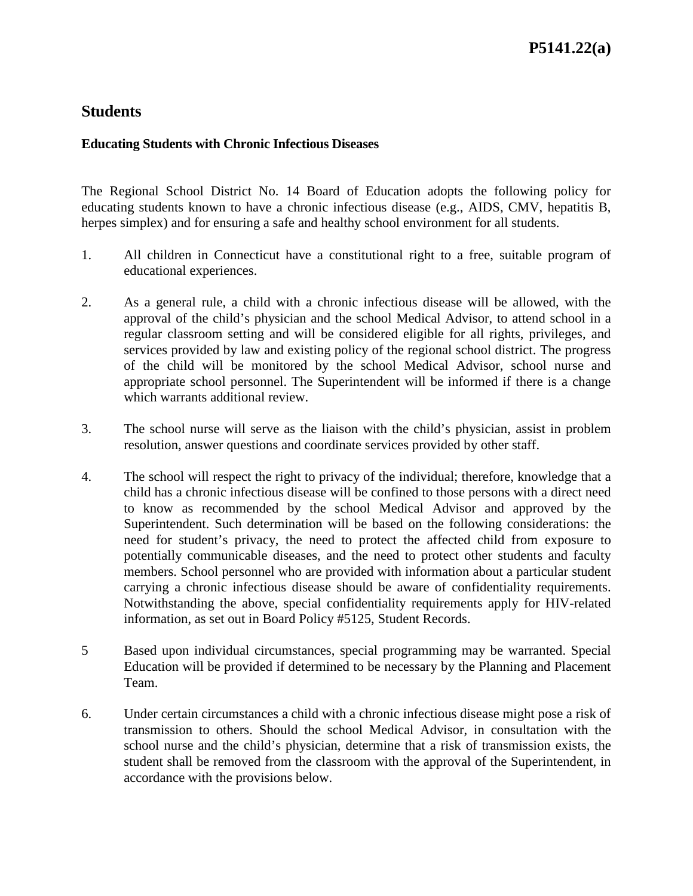# **Students**

#### **Educating Students with Chronic Infectious Diseases**

The Regional School District No. 14 Board of Education adopts the following policy for educating students known to have a chronic infectious disease (e.g., AIDS, CMV, hepatitis B, herpes simplex) and for ensuring a safe and healthy school environment for all students.

- 1. All children in Connecticut have a constitutional right to a free, suitable program of educational experiences.
- 2. As a general rule, a child with a chronic infectious disease will be allowed, with the approval of the child's physician and the school Medical Advisor, to attend school in a regular classroom setting and will be considered eligible for all rights, privileges, and services provided by law and existing policy of the regional school district. The progress of the child will be monitored by the school Medical Advisor, school nurse and appropriate school personnel. The Superintendent will be informed if there is a change which warrants additional review.
- 3. The school nurse will serve as the liaison with the child's physician, assist in problem resolution, answer questions and coordinate services provided by other staff.
- 4. The school will respect the right to privacy of the individual; therefore, knowledge that a child has a chronic infectious disease will be confined to those persons with a direct need to know as recommended by the school Medical Advisor and approved by the Superintendent. Such determination will be based on the following considerations: the need for student's privacy, the need to protect the affected child from exposure to potentially communicable diseases, and the need to protect other students and faculty members. School personnel who are provided with information about a particular student carrying a chronic infectious disease should be aware of confidentiality requirements. Notwithstanding the above, special confidentiality requirements apply for HIV-related information, as set out in Board Policy #5125, Student Records.
- 5 Based upon individual circumstances, special programming may be warranted. Special Education will be provided if determined to be necessary by the Planning and Placement Team.
- 6. Under certain circumstances a child with a chronic infectious disease might pose a risk of transmission to others. Should the school Medical Advisor, in consultation with the school nurse and the child's physician, determine that a risk of transmission exists, the student shall be removed from the classroom with the approval of the Superintendent, in accordance with the provisions below.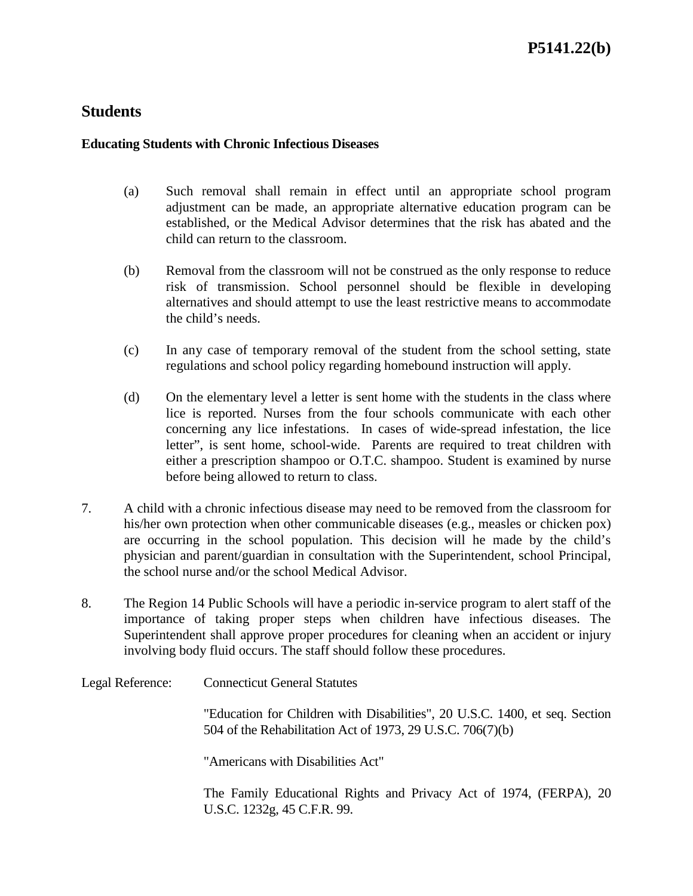# **Students**

#### **Educating Students with Chronic Infectious Diseases**

- (a) Such removal shall remain in effect until an appropriate school program adjustment can be made, an appropriate alternative education program can be established, or the Medical Advisor determines that the risk has abated and the child can return to the classroom.
- (b) Removal from the classroom will not be construed as the only response to reduce risk of transmission. School personnel should be flexible in developing alternatives and should attempt to use the least restrictive means to accommodate the child's needs.
- (c) In any case of temporary removal of the student from the school setting, state regulations and school policy regarding homebound instruction will apply.
- (d) On the elementary level a letter is sent home with the students in the class where lice is reported. Nurses from the four schools communicate with each other concerning any lice infestations. In cases of wide-spread infestation, the lice letter", is sent home, school-wide. Parents are required to treat children with either a prescription shampoo or O.T.C. shampoo. Student is examined by nurse before being allowed to return to class.
- 7. A child with a chronic infectious disease may need to be removed from the classroom for his/her own protection when other communicable diseases (e.g., measles or chicken pox) are occurring in the school population. This decision will he made by the child's physician and parent/guardian in consultation with the Superintendent, school Principal, the school nurse and/or the school Medical Advisor.
- 8. The Region 14 Public Schools will have a periodic in-service program to alert staff of the importance of taking proper steps when children have infectious diseases. The Superintendent shall approve proper procedures for cleaning when an accident or injury involving body fluid occurs. The staff should follow these procedures.

Legal Reference: Connecticut General Statutes

"Education for Children with Disabilities", 20 U.S.C. 1400, et seq. Section 504 of the Rehabilitation Act of 1973, 29 U.S.C. 706(7)(b)

"Americans with Disabilities Act"

The Family Educational Rights and Privacy Act of 1974, (FERPA), 20 U.S.C. 1232g, 45 C.F.R. 99.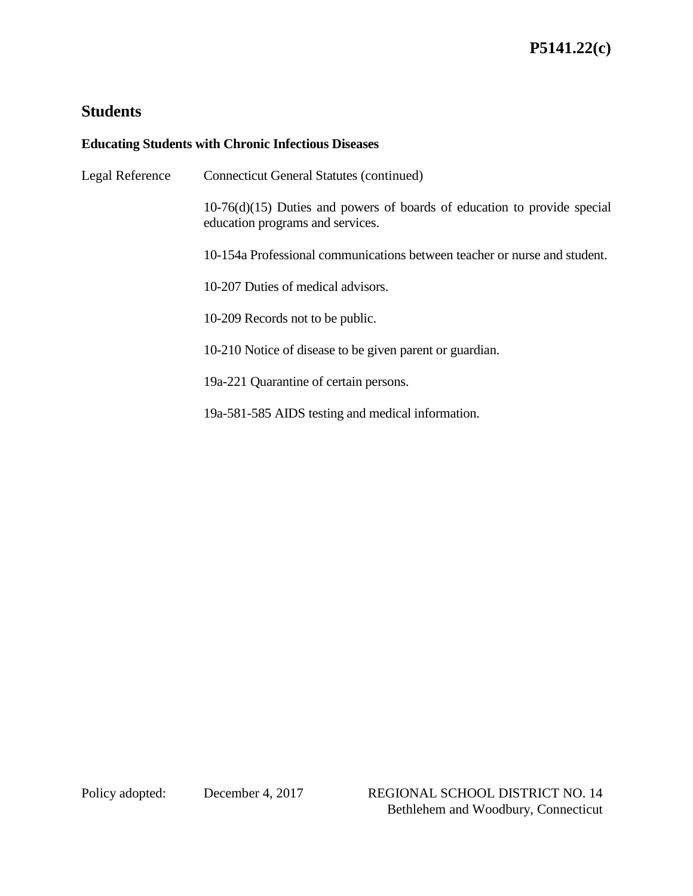# **Students**

## **Educating Students with Chronic Infectious Diseases**

| Legal Reference | <b>Connecticut General Statutes (continued)</b>                                                                |
|-----------------|----------------------------------------------------------------------------------------------------------------|
|                 | $10-76(d)(15)$ Duties and powers of boards of education to provide special<br>education programs and services. |
|                 | 10-154a Professional communications between teacher or nurse and student.                                      |
|                 | 10-207 Duties of medical advisors.                                                                             |
|                 | 10-209 Records not to be public.                                                                               |
|                 | 10-210 Notice of disease to be given parent or guardian.                                                       |
|                 | 19a-221 Quarantine of certain persons.                                                                         |
|                 | 19a-581-585 AIDS testing and medical information.                                                              |